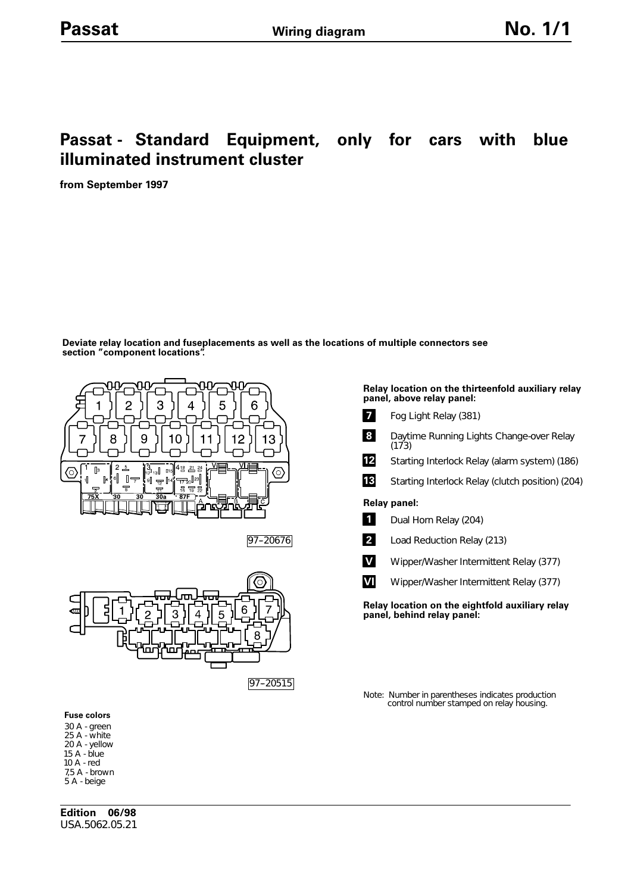# **Passat - Standard Equipment, only for cars with blue illuminated instrument cluster**

**from September 1997**

**Deviate relay location and fuseplacements as well as the locations of multiple connectors see section "component locations".**





## **1** Dual Horn Relay (204) **2** Load Reduction Relay (213) **Relay location on the eightfold auxiliary relay Relay panel: 8** Daytime Running Lights Change-over Relay (173) **13** 12 Starting Interlock Relay (alarm system) (186) Starting Interlock Relay (clutch position) (204) **V** Wipper/Washer Intermittent Relay (377) **VI** Wipper/Washer Intermittent Relay (377)

**Relay location on the thirteenfold auxiliary relay**

**panel, above relay panel:**

**7** Fog Light Relay (381)

**panel, behind relay panel:**

Note: Number in parentheses indicates production control number stamped on relay housing.

#### **Fuse colors**

30 A - green 25 A - white 20 A - yellow 15 A - blue 10 A - red 7,5 A - brown 5 A - beige

**Edition 06/98** USA.5062.05.21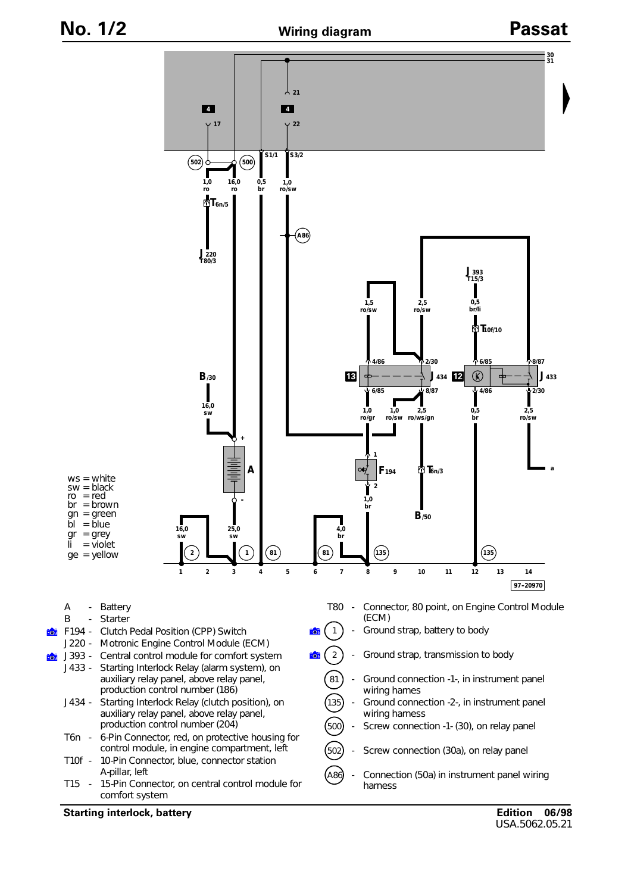

### **Starting interlock, battery**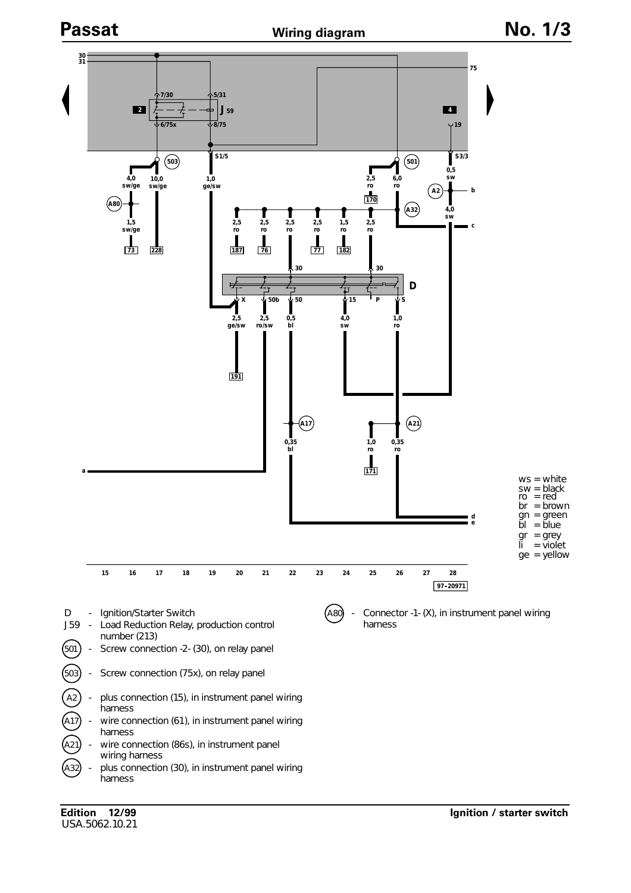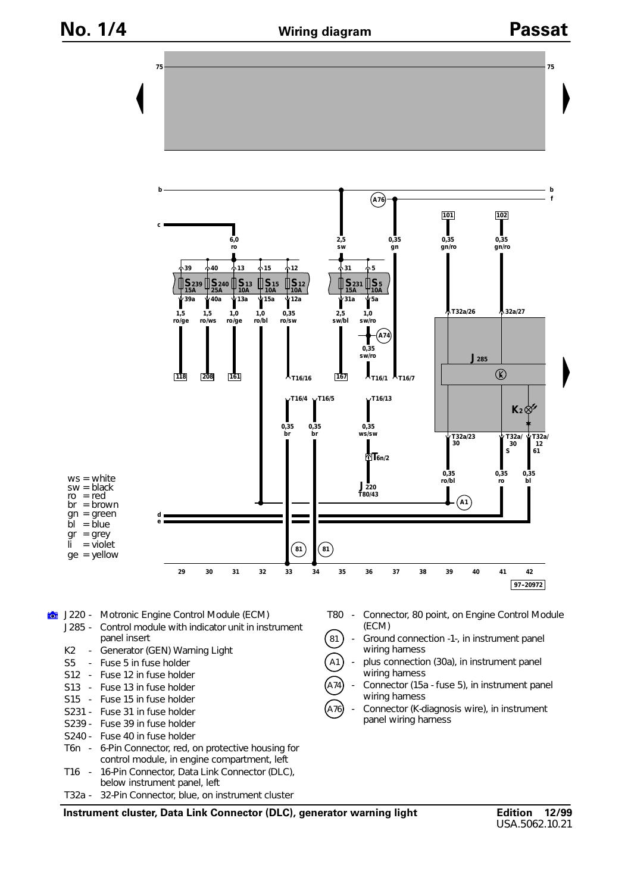

**Instrument cluster, Data Link Connector (DLC), generator warning light**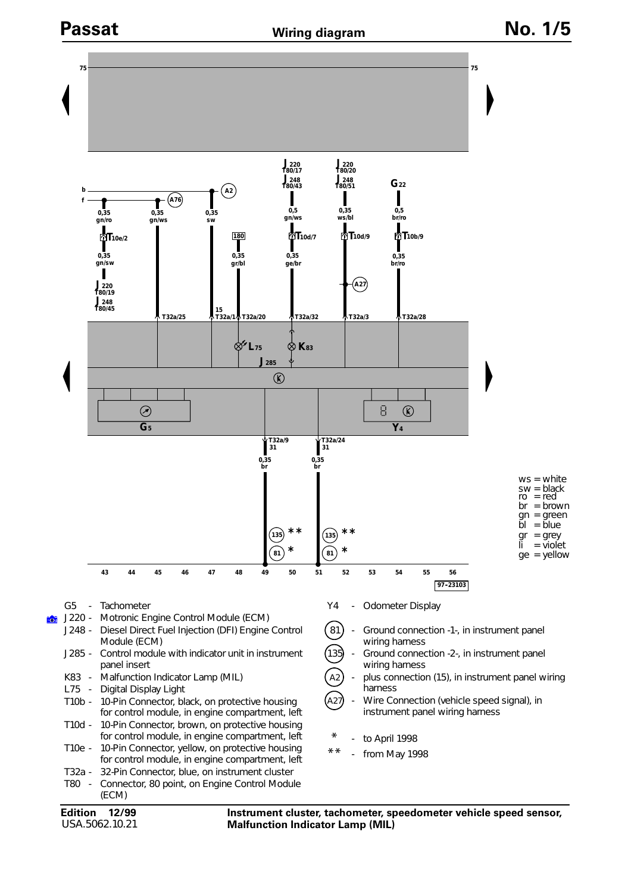

USA.5062.10.21

**Malfunction Indicator Lamp (MIL)**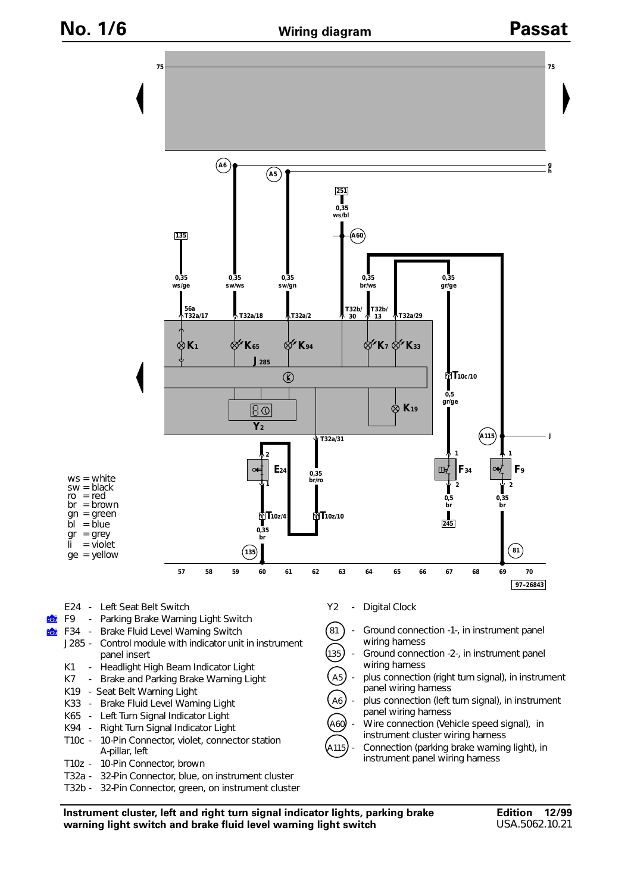**ECT** ió. **h**



**Instrument cluster, left and right turn signal indicator lights, parking brake warning light switch and brake fluid level warning light switch**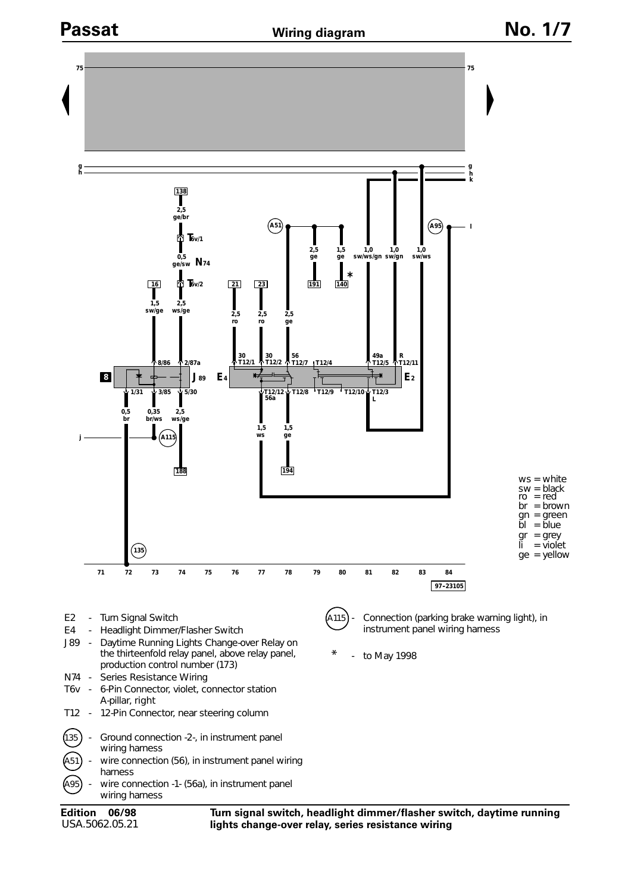

USA.5062.05.21

**lights change-over relay, series resistance wiring**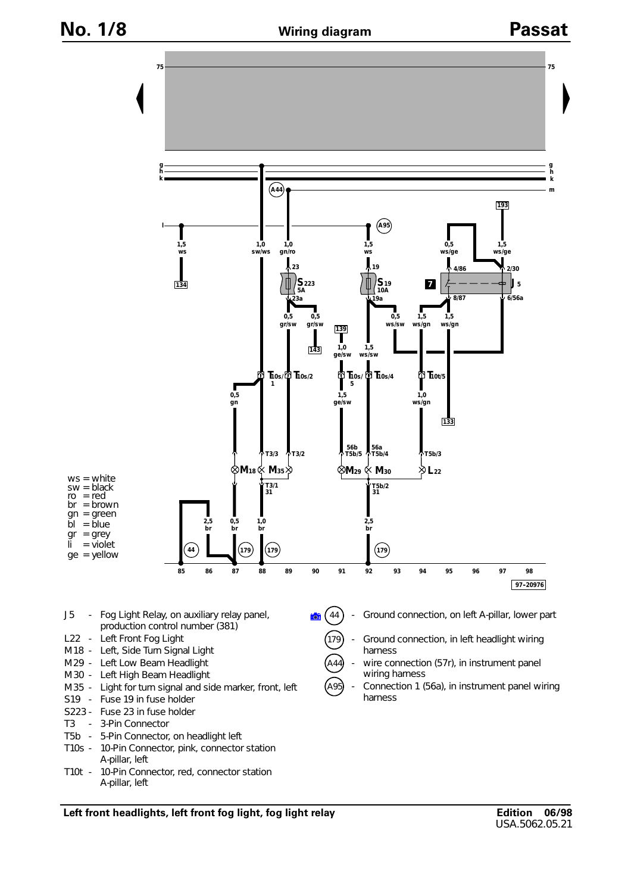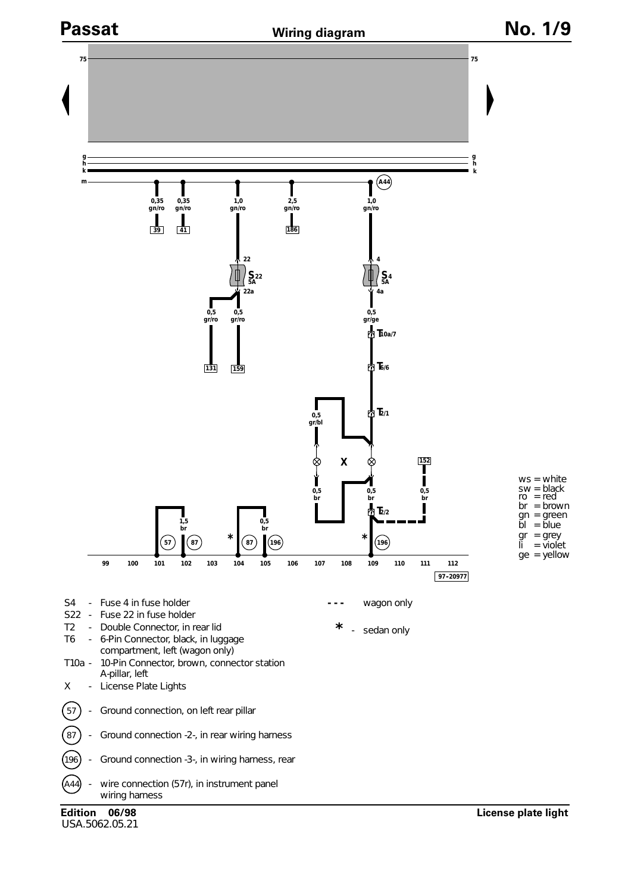

USA.5062.05.21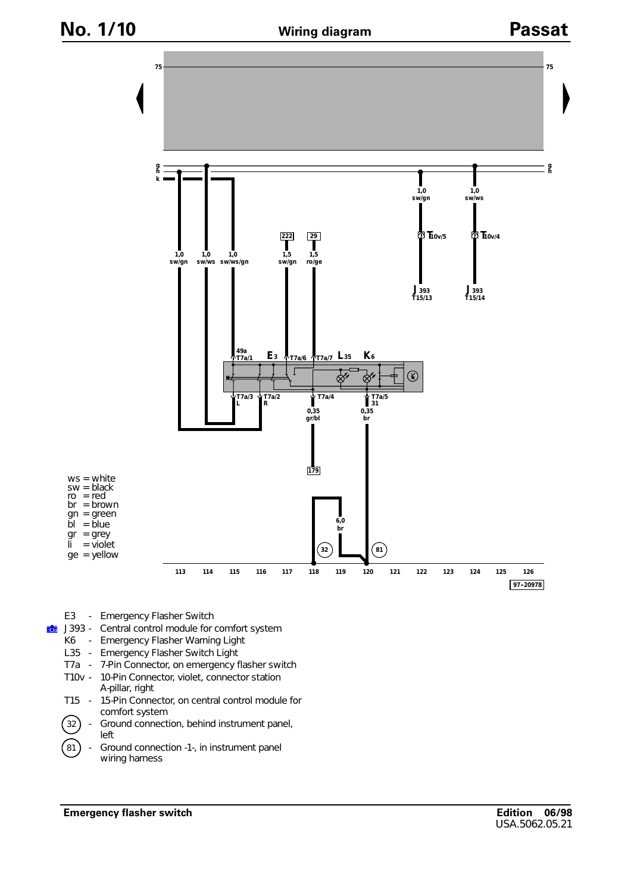

- E3 Emergency Flasher Switch
- **Eco** J393 - Central control module for comfort system
	- K6 Emergency Flasher Warning Light
	- L35 Emergency Flasher Switch Light
	- T7a 7-Pin Connector, on emergency flasher switch
	- T10v 10-Pin Connector, violet, connector station A-pillar, right
	- T15 15-Pin Connector, on central control module for comfort system
	- $(32)$  Ground connection, behind instrument panel, left
	- $(81)$  Ground connection -1-, in instrument panel wiring harness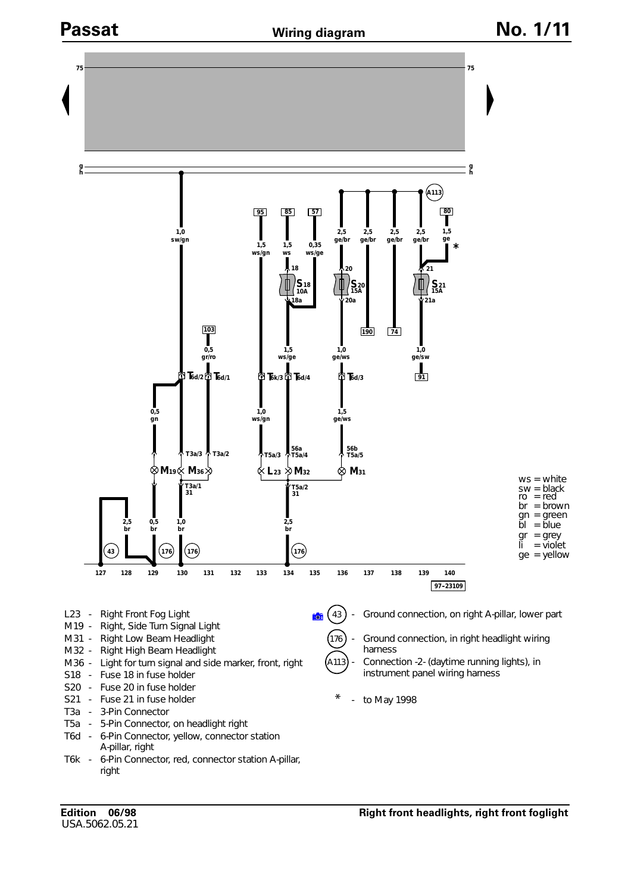

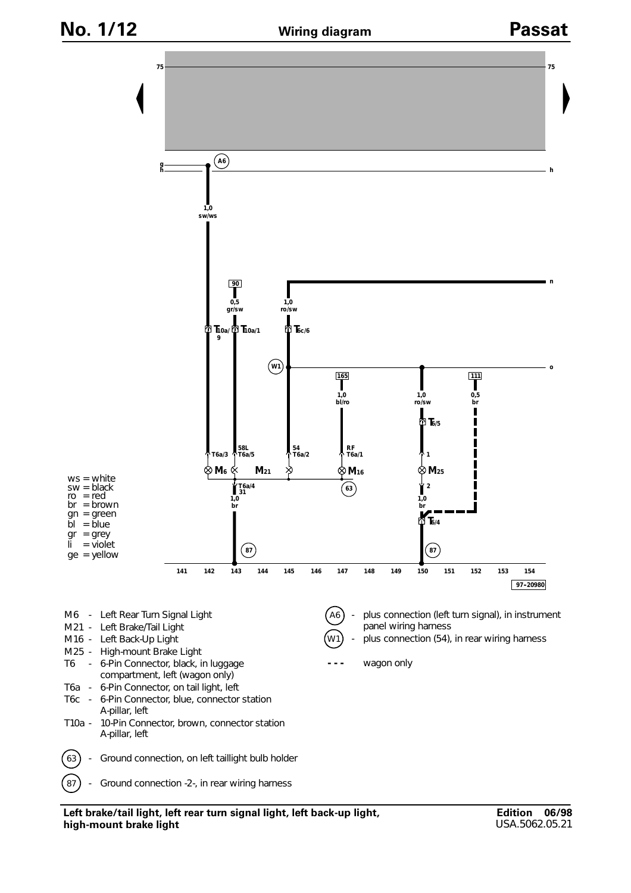



**Left brake/tail light, left rear turn signal light, left back-up light, high-mount brake light**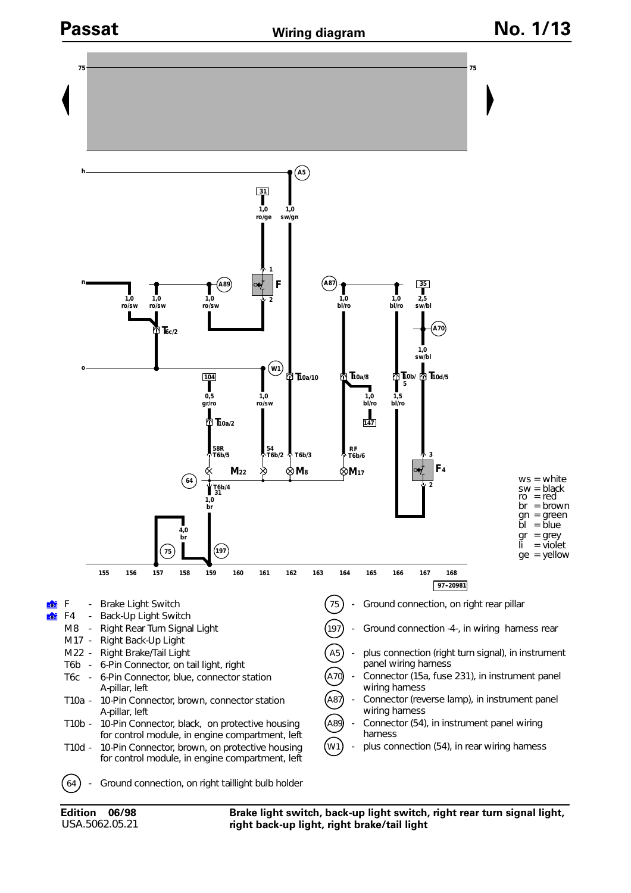

## **Wiring diagram**



**Brake light switch, back-up light switch, right rear turn signal light, right back-up light, right brake/tail light**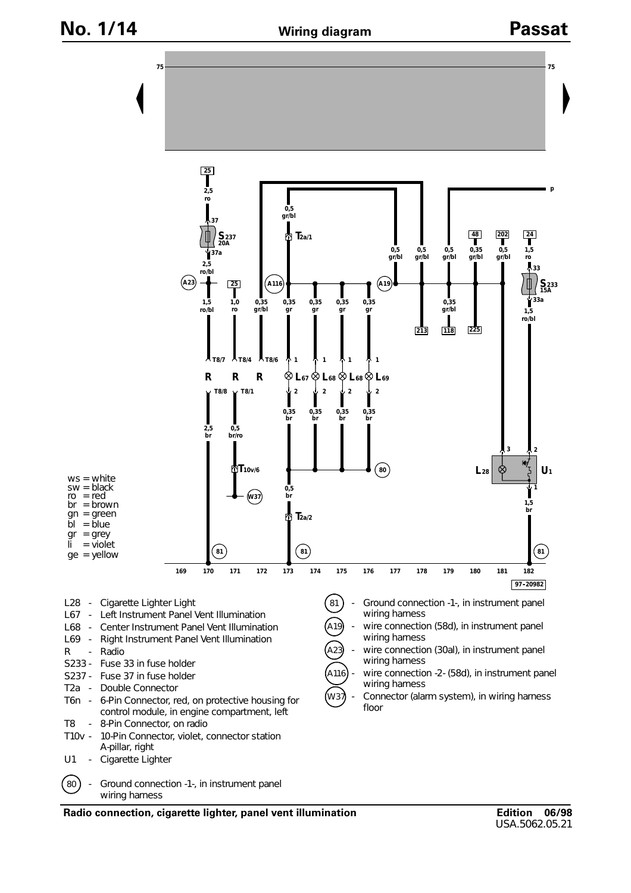

**Radio connection, cigarette lighter, panel vent illumination**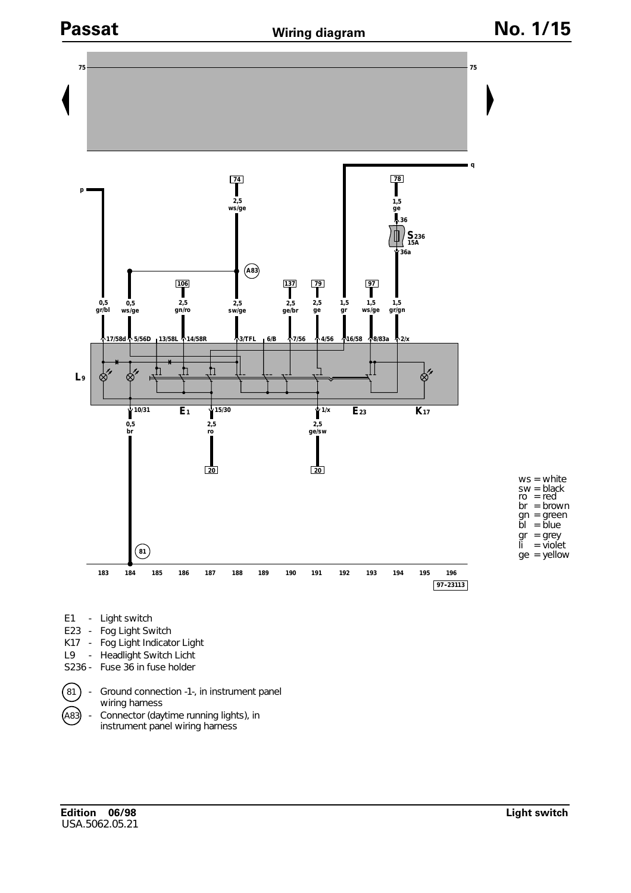

- - wiring harness
- A83 Connector (daytime running lights), in instrument panel wiring harness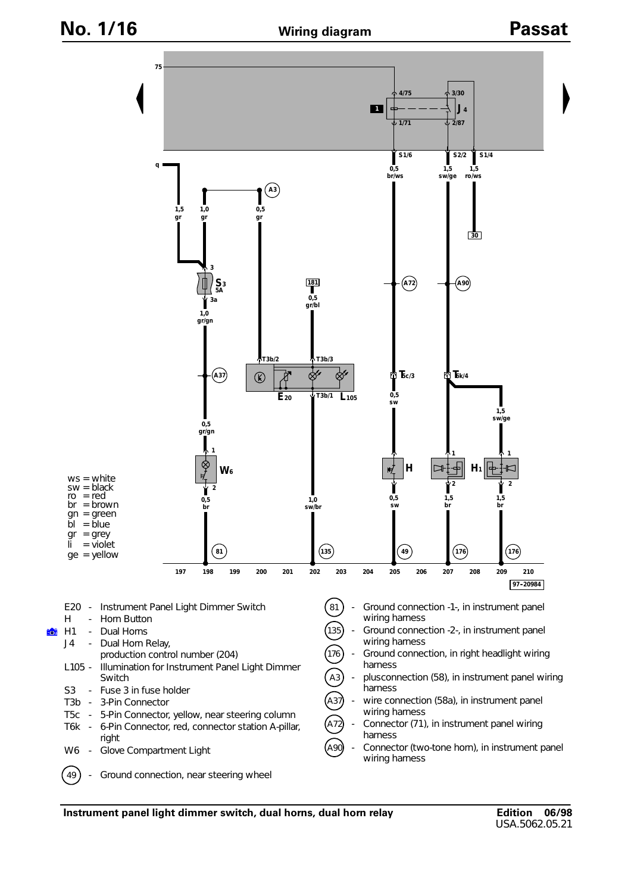**Wiring diagram No. 1/16 Passat**



**Instrument panel light dimmer switch, dual horns, dual horn relay**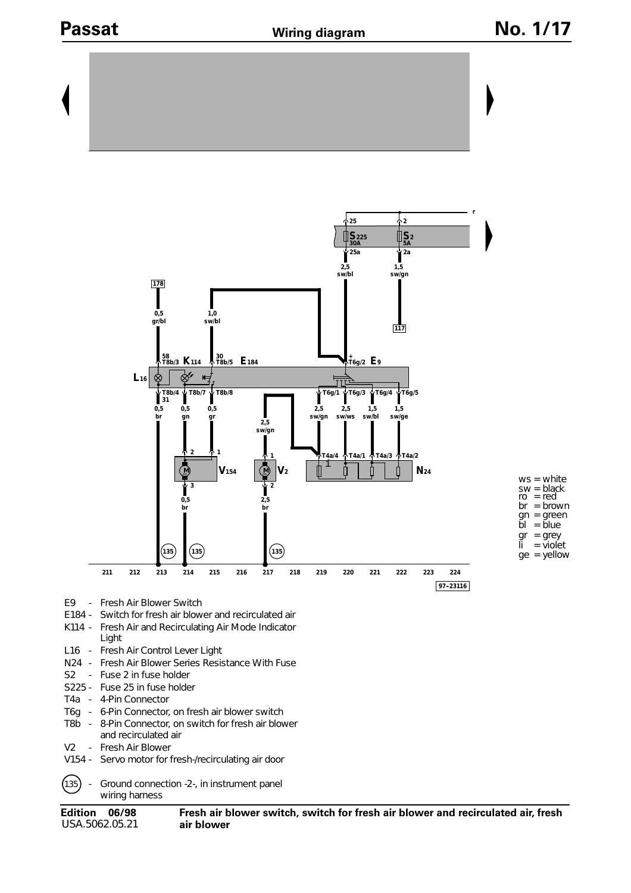# **Passat** Miring diagram Mo. 1/17

 $=$  violet



- 
- E184 Switch for fresh air blower and recirculated air K114 - Fresh Air and Recirculating Air Mode Indicator
- Light
- L16 Fresh Air Control Lever Light
- N24 Fresh Air Blower Series Resistance With Fuse
- S2 Fuse 2 in fuse holder
- S225 Fuse 25 in fuse holder
- T4a 4-Pin Connector
- T6g 6-Pin Connector, on fresh air blower switch
- T8b 8-Pin Connector, on switch for fresh air blower and recirculated air
- V2 Fresh Air Blower
- V154 Servo motor for fresh-/recirculating air door
- $(135)$  Ground connection -2-, in instrument panel wiring harness

**Edition 06/98** USA.5062.05.21

**Fresh air blower switch, switch for fresh air blower and recirculated air, fresh air blower**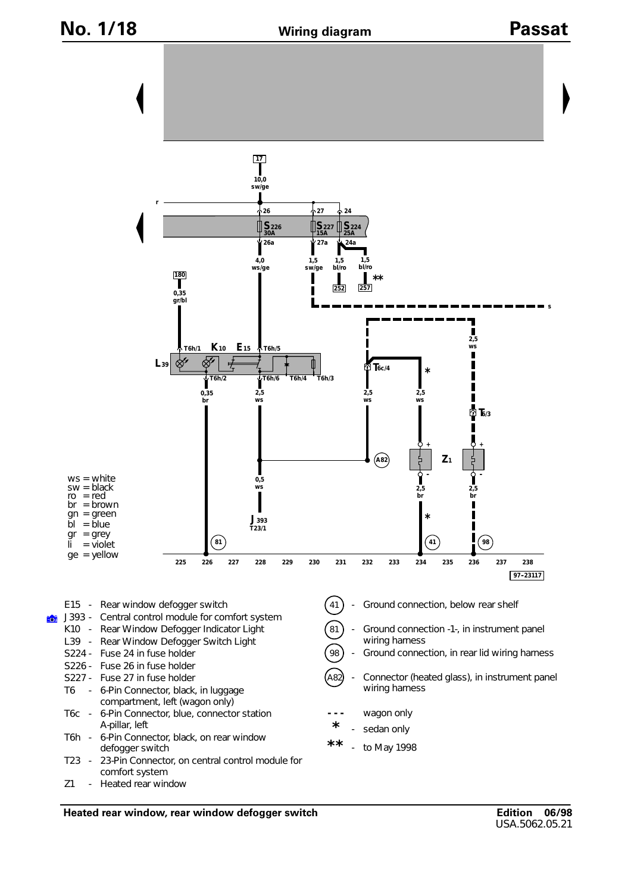## **Wiring diagram No. 1/18 Passat**



**Heated rear window, rear window defogger switch**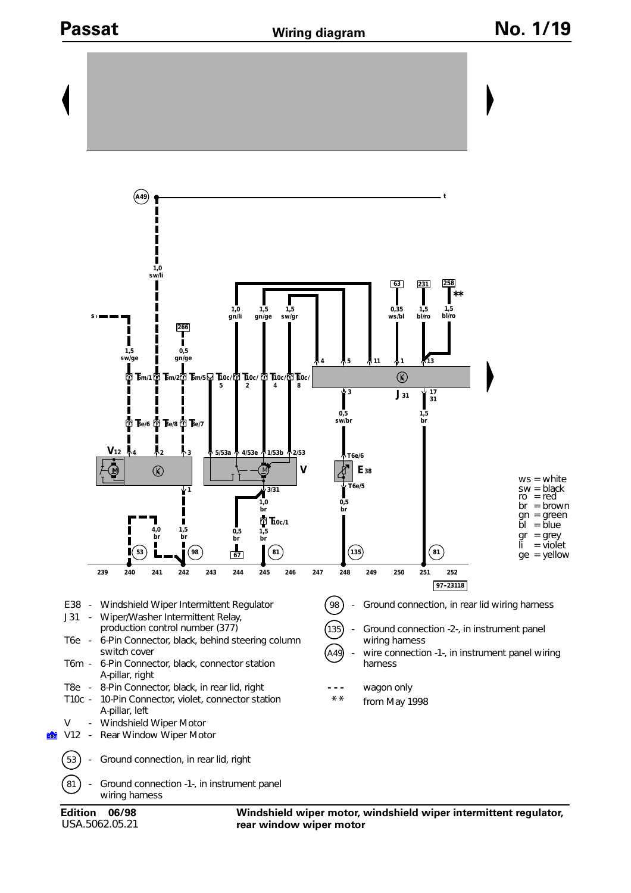

USA.5062.05.21

**Windshield wiper motor, windshield wiper intermittent regulator, rear window wiper motor**